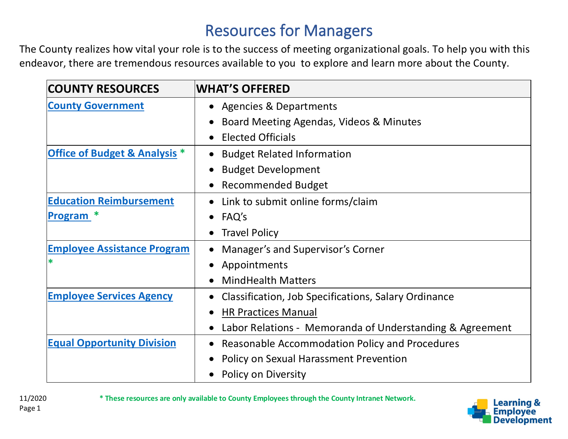## Resources for Managers

The County realizes how vital your role is to the success of meeting organizational goals. To help you with this endeavor, there are tremendous resources available to you to explore and learn more about the County.

| <b>COUNTY RESOURCES</b>                  | <b>WHAT'S OFFERED</b>                                             |
|------------------------------------------|-------------------------------------------------------------------|
| <b>County Government</b>                 | <b>Agencies &amp; Departments</b><br>$\bullet$                    |
|                                          | Board Meeting Agendas, Videos & Minutes<br>$\bullet$              |
|                                          | <b>Elected Officials</b><br>$\bullet$                             |
| <b>Office of Budget &amp; Analysis *</b> | <b>Budget Related Information</b><br>$\bullet$                    |
|                                          | <b>Budget Development</b><br>$\bullet$                            |
|                                          | <b>Recommended Budget</b><br>$\bullet$                            |
| <b>Education Reimbursement</b>           | Link to submit online forms/claim<br>$\bullet$                    |
| Program                                  | FAQ's<br>$\bullet$                                                |
|                                          | <b>Travel Policy</b><br>$\bullet$                                 |
| <b>Employee Assistance Program</b>       | Manager's and Supervisor's Corner<br>$\bullet$                    |
| *                                        | Appointments                                                      |
|                                          | <b>MindHealth Matters</b>                                         |
| <b>Employee Services Agency</b>          | Classification, Job Specifications, Salary Ordinance<br>$\bullet$ |
|                                          | <b>HR Practices Manual</b>                                        |
|                                          | Labor Relations - Memoranda of Understanding & Agreement          |
| <b>Equal Opportunity Division</b>        | Reasonable Accommodation Policy and Procedures<br>$\bullet$       |
|                                          | Policy on Sexual Harassment Prevention                            |
|                                          | Policy on Diversity                                               |